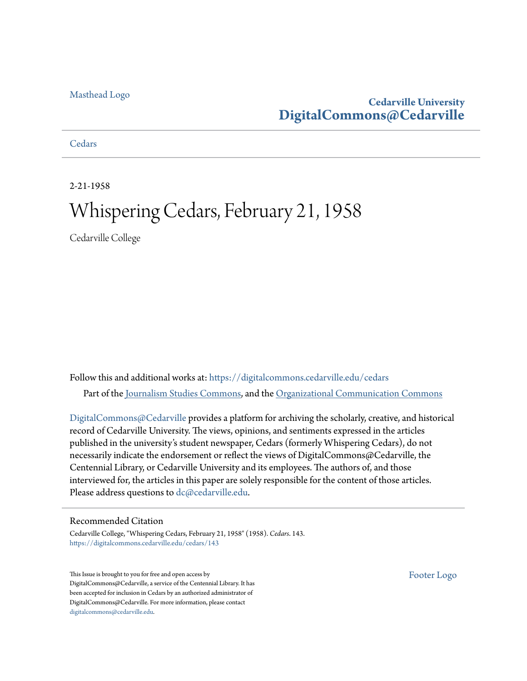#### [Masthead Logo](http://www.cedarville.edu/?utm_source=digitalcommons.cedarville.edu%2Fcedars%2F143&utm_medium=PDF&utm_campaign=PDFCoverPages)

## **Cedarville University [DigitalCommons@Cedarville](https://digitalcommons.cedarville.edu?utm_source=digitalcommons.cedarville.edu%2Fcedars%2F143&utm_medium=PDF&utm_campaign=PDFCoverPages)**

### **[Cedars](https://digitalcommons.cedarville.edu/cedars?utm_source=digitalcommons.cedarville.edu%2Fcedars%2F143&utm_medium=PDF&utm_campaign=PDFCoverPages)**

2-21-1958

# Whispering Cedars, February 21, 1958

Cedarville College

Follow this and additional works at: [https://digitalcommons.cedarville.edu/cedars](https://digitalcommons.cedarville.edu/cedars?utm_source=digitalcommons.cedarville.edu%2Fcedars%2F143&utm_medium=PDF&utm_campaign=PDFCoverPages) Part of the [Journalism Studies Commons](http://network.bepress.com/hgg/discipline/333?utm_source=digitalcommons.cedarville.edu%2Fcedars%2F143&utm_medium=PDF&utm_campaign=PDFCoverPages), and the [Organizational Communication Commons](http://network.bepress.com/hgg/discipline/335?utm_source=digitalcommons.cedarville.edu%2Fcedars%2F143&utm_medium=PDF&utm_campaign=PDFCoverPages)

[DigitalCommons@Cedarville](http://digitalcommons.cedarville.edu/) provides a platform for archiving the scholarly, creative, and historical record of Cedarville University. The views, opinions, and sentiments expressed in the articles published in the university's student newspaper, Cedars (formerly Whispering Cedars), do not necessarily indicate the endorsement or reflect the views of DigitalCommons@Cedarville, the Centennial Library, or Cedarville University and its employees. The authors of, and those interviewed for, the articles in this paper are solely responsible for the content of those articles. Please address questions to [dc@cedarville.edu.](mailto:dc@cedarville.edu)

#### Recommended Citation

Cedarville College, "Whispering Cedars, February 21, 1958" (1958). *Cedars*. 143. [https://digitalcommons.cedarville.edu/cedars/143](https://digitalcommons.cedarville.edu/cedars/143?utm_source=digitalcommons.cedarville.edu%2Fcedars%2F143&utm_medium=PDF&utm_campaign=PDFCoverPages)

This Issue is brought to you for free and open access by DigitalCommons@Cedarville, a service of the Centennial Library. It has been accepted for inclusion in Cedars by an authorized administrator of DigitalCommons@Cedarville. For more information, please contact [digitalcommons@cedarville.edu](mailto:digitalcommons@cedarville.edu).

[Footer Logo](http://www.cedarville.edu/Academics/Library.aspx?utm_source=digitalcommons.cedarville.edu%2Fcedars%2F143&utm_medium=PDF&utm_campaign=PDFCoverPages)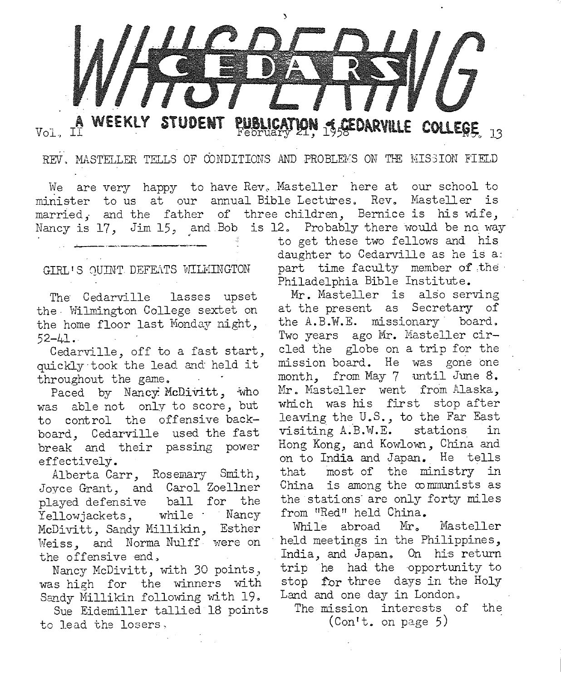

Vol.

**PUBLICATION & GEDARVILLE** 

REV. MASTELLER TELLS OF CONDITIONS AND PROBLEMS ON THE MISSION FIELD

We are very happy to have Rev. Masteller here at our school to minister to us at our annual Bible Lectures. Rev. Masteller is married, and the father of three children, Bernice is his wife, Nancy is 17, Jim 15, and Bob is 12. Probably there would be no way

#### GIRL'S QUINT DEFEATS WILMINGTON

The Cedarville lasses upse<sup>t</sup> the- Wilmington College sextet on the home floor last Monday night, 52-41.

Cedarville, off to a fast start, quickly took the lead and held it throughout the game.

Paced by Nancy McDivitt, who was able not only to score, but to control the offensive backboard, Cedarville used the fast break and their passing power effectively.

Alberta Carr, Rosemary Smith, Joyce Grant, and Carol Zoel1ner played defensive ball for the Yellowjackets, while Nancy McDivitt, Sandy Millikin, Esther Weiss., and Norma Nulff were on the offensive end,

Nancy McDivitt, with 30 points) was high for the winners with Sandy Millikin following with 19.

Sue Eidemiller tallied 18 points to lead the losers.

to get these two fellows and his daughter to Cedarville as he is a: part time faculty member of the Philadelphia Bible Institute.

Mr. Masteller is also serving at the present as Secretary of the A.B.W.E. missionary board. Two years ago Mr. Masteller circled the globe on a trip for the mission board. He was gone one month, from May 7 until June 8. Mr. Masteller went from Alaska, which was his first stop after leaving the U.S., to the Far East visiting A.B.W.E. stations in Hong Kong, and Kowlown, China and<br>on to India and Japan. He tells that most of the ministry in China is among the  $\infty$  mmunists as the stations· are only forty miles from "Red" held China.

While abroad Mr. Masteller held meetings in the Philippines, India, and Japan. On his return trip he had the opportunity to stop for three days in the Holy<br>Land and one day in London.

The mission interests of the (Con't. on page 5)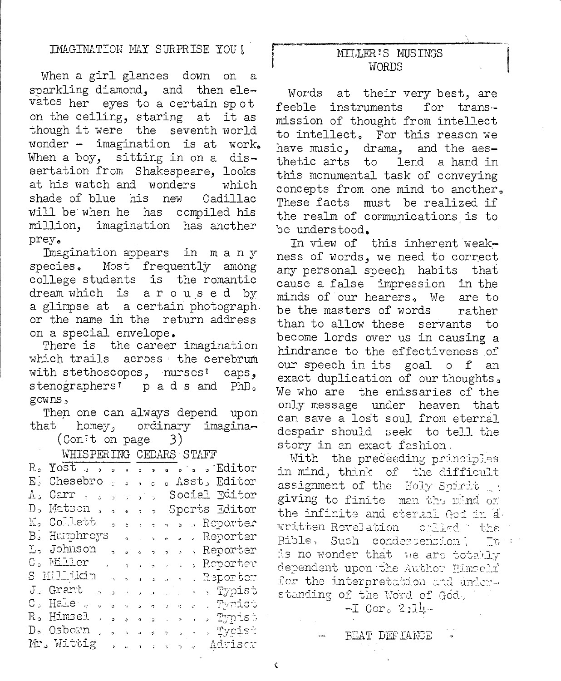When a girl glances down on a sparkling diamond, and then elevates her eyes to a certain spot on the ceiling, staring at it as though it were the seventh world wonder - imagination is at work. When a boy, sitting in on a dissertation from Shakespeare, looks at his watch and wonders which shade of blue his new Cadillac will be when he has compiled his million, imagination has another prey.

Imagination appears in many species. Most frequently among college students is the romantic dream which is aroused by a glimpse at a certain photograph. or the name in the return address on a special envelope.

There is the career imagination which trails across the cerebrum with stethoscopes, nurses<sup>1</sup> caps, stenographers' pads and PhD. gowns,

Then one can always depend upon that homey, ordinary imagina-

(Con<sup>t</sup> on page) 3)

**WHISPERIM OF CRAPE STRIP** 

|           |                        |                 |                 |                    |                                                     | <u>MITTO THATIMO OTTOGENO OTETTIN</u> |  |  |  |  |                                    |  |
|-----------|------------------------|-----------------|-----------------|--------------------|-----------------------------------------------------|---------------------------------------|--|--|--|--|------------------------------------|--|
|           |                        |                 |                 |                    |                                                     |                                       |  |  |  |  | R. Yost , , , , , , , , , , Editor |  |
|           | E. Chesebro            |                 |                 |                    |                                                     |                                       |  |  |  |  | . Asst, Editor                     |  |
| $A \cdot$ | Carr,                  |                 | $\overline{z}$  | $\hat{\mathbf{A}}$ | ່ ນັ່ນ                                              |                                       |  |  |  |  | Social Editor                      |  |
| D,        | Matson,                |                 |                 |                    |                                                     |                                       |  |  |  |  | Sports Editor                      |  |
|           | K. Collett             |                 | ,               |                    | $z \rightarrow -z$                                  |                                       |  |  |  |  | a s a Reporter                     |  |
|           | B. Humphreys , , , , , |                 |                 |                    |                                                     |                                       |  |  |  |  | . Reporter                         |  |
|           | L, Johnson             |                 | $\sim$ $\sigma$ | J.                 | $\mathbf{a}$ $\mathbf{a}$ $\mathbf{a}$ $\mathbf{a}$ |                                       |  |  |  |  | Reporter                           |  |
|           |                        |                 |                 |                    |                                                     |                                       |  |  |  |  | C. Miller ( ) and a some Reporter  |  |
|           |                        |                 |                 |                    |                                                     |                                       |  |  |  |  | S Millikin a sama a sa Reporter    |  |
|           | J. Grant .             |                 | $\mathbf{A}$    |                    |                                                     |                                       |  |  |  |  | and developers of Typist           |  |
|           | C, Hale <sub>s</sub>   |                 |                 |                    |                                                     |                                       |  |  |  |  | a sa a sa a shi Tynist             |  |
|           | R. Himsel              | $\sim$ $\alpha$ |                 |                    |                                                     |                                       |  |  |  |  | sa sa cinsus Typist                |  |
|           | D. Osborn              |                 |                 |                    |                                                     |                                       |  |  |  |  | <u>voles el la proist</u>          |  |
|           | Mr. Wittig ,           |                 |                 |                    |                                                     |                                       |  |  |  |  | is a la sina in Advisco            |  |
|           |                        |                 |                 |                    |                                                     |                                       |  |  |  |  |                                    |  |

#### MILLER'S MUSINGS WORDS

Words at their very best, are feeble instruments for transmission of thought from intellect to intellect. For this reason we have music, drama, and the aesthetic arts to lend a hand in this monumental task of conveying concepts from one mind to another. These facts must be realized if the realm of communications is to be understood.

In view of this inherent weakness of words, we need to correct any personal speech habits that cause a false impression in the minds of our hearers, We are to be the masters of words rather than to allow these servants to become lords over us in causing a hindrance to the effectiveness of our speech in its goal o f an exact duplication of our thoughts. We who are the enissaries of the only message under heaven that can save a lost soul from eternal despair should seek to tell the story in an exact fashion,

With the preceeding principles in mind, think of the difficult assignment of the Holy Spirit get giving to finite man the mind or the infinite and eterial God in a written Revelation child the " Bible, Such condessension;  $Tr_{\rm c} \sim 10^5$ is no wonder that we are totally dependent upon the Author Himseli for the interpretation and understanding of the Word of God.  $-T$  Cor.  $2:1$ 

BEAT DEFIANCE

 $\hat{\zeta}$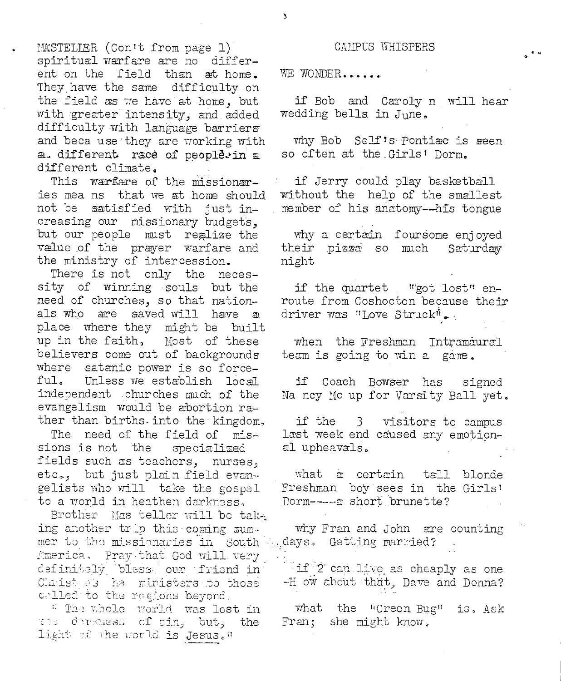MASTELLER (Con't from page 1) spiritual warfare are no different on the field than at home. They have the same difficulty on the field as we have at home, but with greater intensity, and added difficulty with language barriers and beca use they are working with a. different race of people.in a different climate.

This warfare of the missionaries mea ns that we at home should not be satisfied with just increasing our missionary budgets, but our people must realize the value of the prayer warfare and the ministry of intercession.

There is not only the necessity of winning souls but the need of churches, so that nationals who are saved will have a place where they might be built up in the faith, Most of these believers come out of backgrounds where satanic power is so forceful. Unless we establish local independent churches much of the evangelism would be abortion rather than births into the kingdom.

The need of the field of missions is not the specialized fields such as teachers, nurses, etc., but just plain field evangelists who will take the gospel to a world in heathen darknass.

Brother Mas teller will be taking another trip this coming summer to the missionaries in South America. Pray that God will very definitely bless our friend in Claist es he ministers to those called to the regions beyond.

" The whole world was lost in the derkness of sin, but, the light of the world is Jesus."

CAMPUS WHISPERS

WE WONDER......

if Bob and Caroly n will hear wedding bells in June.

why Bob Self's Pontiac is seen so often at the Girls' Dorm.

if Jerry could play basketball without the help of the smallest member of his anatomy--his tongue

why a certain foursome enjoyed their pizza so much Saturday night

if the quartet "got lost" enroute from Coshocton because their driver was "Love Struck".

when the Freshman Intramaural team is going to win a game.

if Coach Bowser has signed Na ncy Mc up for Varsity Ball yet.

if the 3 visitors to campus last week end caused any emotional upheavals.

what a certain tall blonde Freshman boy sees in the Girls' Dorm----- a short brunette?

why Fran and John are counting days. Getting married?

if 2 can live as cheaply as one -H ow about that, Dave and Donna?

what the "Green Bug" is, Ask Fran; she might know.

٦